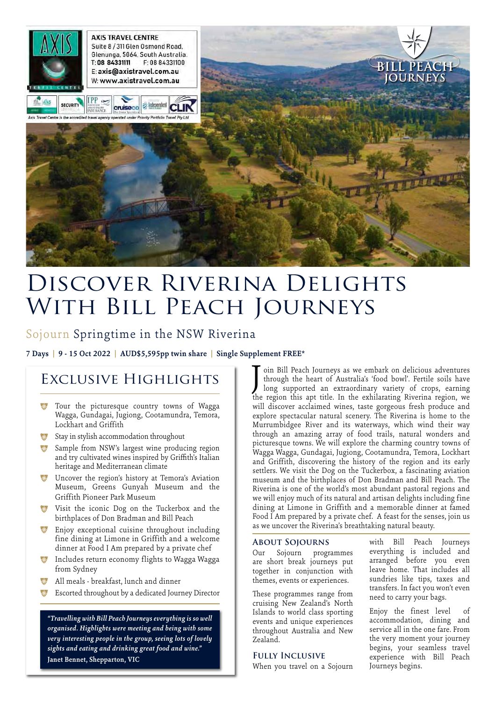

# DISCOVER RIVERINA DELIGHTS WITH BILL PEACH JOURNEYS

### Sojourn Springtime in the NSW Riverina

**7 Days | 9 - 15 Oct 2022 | AUD\$5,595pp twin share | Single Supplement FREE\***

## Exclusive Highlights

- **\*** Tour the picturesque country towns of Wagga Wagga, Gundagai, Jugiong, Cootamundra, Temora, Lockhart and Griffith
- \* Stay in stylish accommodation throughout
- **\*** Sample from NSW's largest wine producing region and try cultivated wines inspired by Griffith's Italian heritage and Mediterranean climate
- \* Uncover the region's history at Temora's Aviation Museum, Greens Gunyah Museum and the Griffith Pioneer Park Museum
- Visit the iconic Dog on the Tuckerbox and the birthplaces of Don Bradman and Bill Peach
- Enjoy exceptional cuisine throughout including fine dining at Limone in Griffith and a welcome dinner at Food I Am prepared by a private chef
- **\*** Includes return economy flights to Wagga Wagga from Sydney
- All meals breakfast, lunch and dinner
- Escorted throughout by a dedicated Journey Director

*"Travelling with Bill Peach Journeys everything is so well organised. Highlights were meeting and being with some very interesting people in the group, seeing lots of lovely sights and eating and drinking great food and wine."* **Janet Bennet, Shepparton, VIC**

oin Bill Peach Journeys as we embark on delicious adventures through the heart of Australia's 'food bowl'. Fertile soils have long supported an extraordinary variety of crops, earning the region this apt title. In the exhilarating Riverina region, we will discover acclaimed wines, taste gorgeous fresh produce and explore spectacular natural scenery. The Riverina is home to the Murrumbidgee River and its waterways, which wind their way through an amazing array of food trails, natural wonders and picturesque towns. We will explore the charming country towns of Wagga Wagga, Gundagai, Jugiong, Cootamundra, Temora, Lockhart and Griffith, discovering the history of the region and its early settlers. We visit the Dog on the Tuckerbox, a fascinating aviation museum and the birthplaces of Don Bradman and Bill Peach. The Riverina is one of the world's most abundant pastoral regions and we will enjoy much of its natural and artisan delights including fine dining at Limone in Griffith and a memorable dinner at famed Food I Am prepared by a private chef. A feast for the senses, join us as we uncover the Riverina's breathtaking natural beauty. J

#### **About Sojourns**

Our Sojourn programmes are short break journeys put together in conjunction with themes, events or experiences.

These programmes range from cruising New Zealand's North Islands to world class sporting events and unique experiences throughout Australia and New Zealand.

#### **Fully Inclusive**

When you travel on a Sojourn

with Bill Peach Journeys everything is included and arranged before you even leave home. That includes all sundries like tips, taxes and transfers. In fact you won't even need to carry your bags.

Enjoy the finest level of accommodation, dining and service all in the one fare. From the very moment your journey begins, your seamless travel experience with Bill Peach Journeys begins.